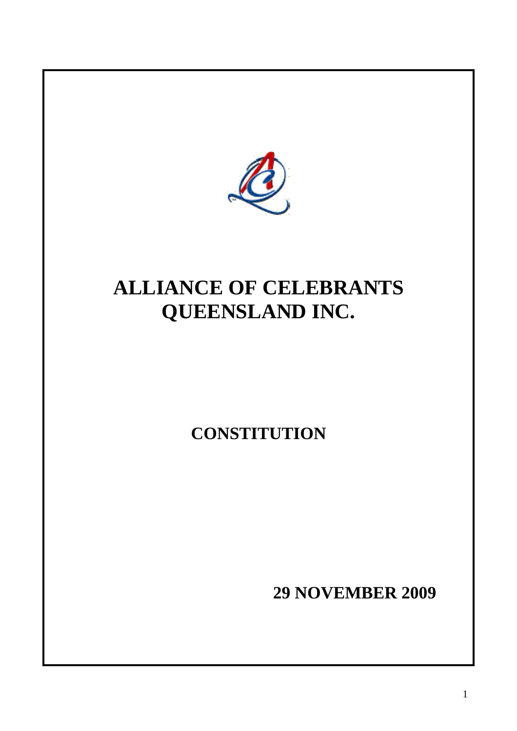

# **ALLIANCE OF CELEBRANTS QUEENSLAND INC.**

## **CONSTITUTION**

**29 NOVEMBER 2009**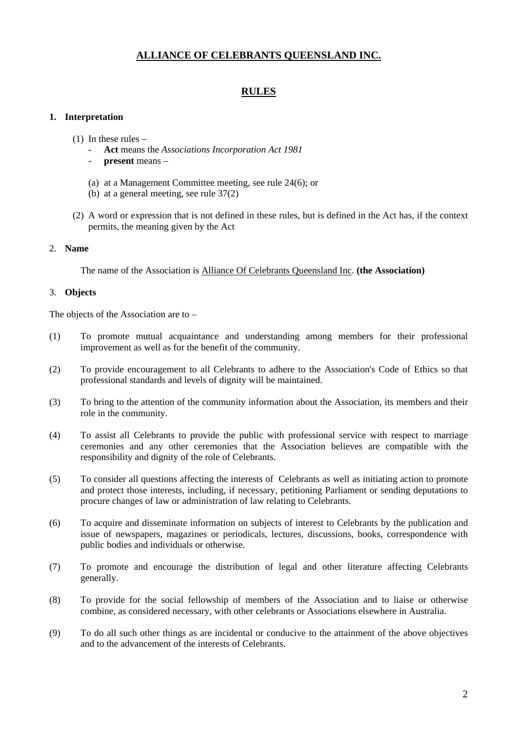## **ALLIANCE OF CELEBRANTS QUEENSLAND INC.**

## **RULES**

#### **1. Interpretation**

- (1) In these rules
	- **Act** means the *Associations Incorporation Act 1981*
	- **present** means –
	- (a) at a Management Committee meeting, see rule 24(6); or
	- (b) at a general meeting, see rule 37(2)
- (2) A word or expression that is not defined in these rules, but is defined in the Act has, if the context permits, the meaning given by the Act

#### 2. **Name**

The name of the Association is Alliance Of Celebrants Queensland Inc. **(the Association)** 

#### 3. **Objects**

The objects of the Association are to –

- (1) To promote mutual acquaintance and understanding among members for their professional improvement as well as for the benefit of the community.
- (2) To provide encouragement to all Celebrants to adhere to the Association's Code of Ethics so that professional standards and levels of dignity will be maintained.
- (3) To bring to the attention of the community information about the Association, its members and their role in the community.
- (4) To assist all Celebrants to provide the public with professional service with respect to marriage ceremonies and any other ceremonies that the Association believes are compatible with the responsibility and dignity of the role of Celebrants.
- (5) To consider all questions affecting the interests of Celebrants as well as initiating action to promote and protect those interests, including, if necessary, petitioning Parliament or sending deputations to procure changes of law or administration of law relating to Celebrants.
- (6) To acquire and disseminate information on subjects of interest to Celebrants by the publication and issue of newspapers, magazines or periodicals, lectures, discussions, books, correspondence with public bodies and individuals or otherwise.
- (7) To promote and encourage the distribution of legal and other literature affecting Celebrants generally.
- (8) To provide for the social fellowship of members of the Association and to liaise or otherwise combine, as considered necessary, with other celebrants or Associations elsewhere in Australia.
- (9) To do all such other things as are incidental or conducive to the attainment of the above objectives and to the advancement of the interests of Celebrants.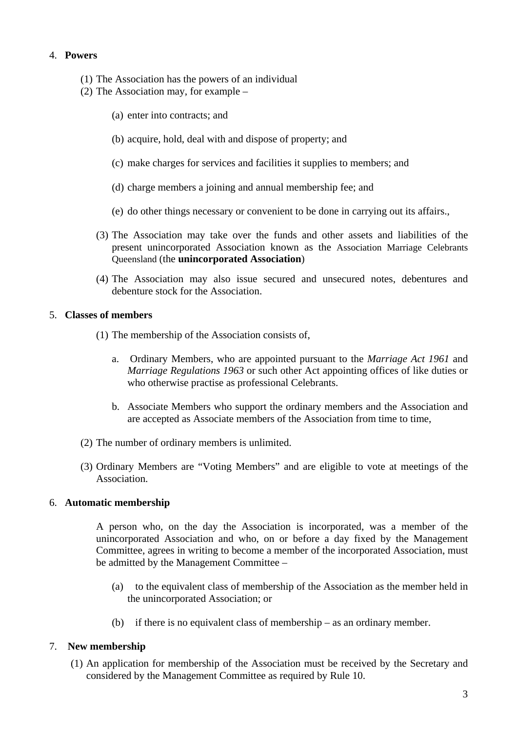## 4. **Powers**

- (1) The Association has the powers of an individual
- (2) The Association may, for example
	- (a) enter into contracts; and
	- (b) acquire, hold, deal with and dispose of property; and
	- (c) make charges for services and facilities it supplies to members; and
	- (d) charge members a joining and annual membership fee; and
	- (e) do other things necessary or convenient to be done in carrying out its affairs.,
	- (3) The Association may take over the funds and other assets and liabilities of the present unincorporated Association known as the Association Marriage Celebrants Queensland (the **unincorporated Association**)
	- (4) The Association may also issue secured and unsecured notes, debentures and debenture stock for the Association.

## 5. **Classes of members**

- (1) The membership of the Association consists of,
	- a. Ordinary Members, who are appointed pursuant to the *Marriage Act 1961* and *Marriage Regulations 1963* or such other Act appointing offices of like duties or who otherwise practise as professional Celebrants.
	- b. Associate Members who support the ordinary members and the Association and are accepted as Associate members of the Association from time to time,
- (2) The number of ordinary members is unlimited.
- (3) Ordinary Members are "Voting Members" and are eligible to vote at meetings of the Association.

## 6. **Automatic membership**

A person who, on the day the Association is incorporated, was a member of the unincorporated Association and who, on or before a day fixed by the Management Committee, agrees in writing to become a member of the incorporated Association, must be admitted by the Management Committee –

- (a) to the equivalent class of membership of the Association as the member held in the unincorporated Association; or
- (b) if there is no equivalent class of membership as an ordinary member.

## 7. **New membership**

(1) An application for membership of the Association must be received by the Secretary and considered by the Management Committee as required by Rule 10.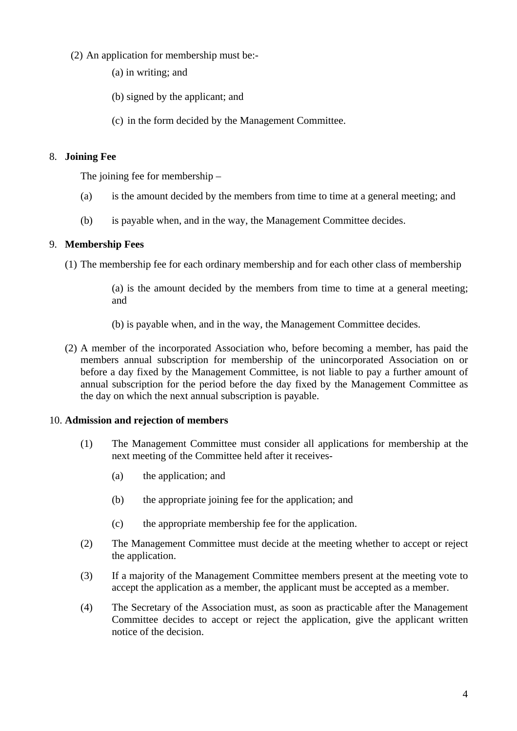- (2) An application for membership must be:-
	- (a) in writing; and
	- (b) signed by the applicant; and
	- (c) in the form decided by the Management Committee.

## 8. **Joining Fee**

The joining fee for membership –

- (a) is the amount decided by the members from time to time at a general meeting; and
- (b) is payable when, and in the way, the Management Committee decides.

## 9. **Membership Fees**

(1) The membership fee for each ordinary membership and for each other class of membership

(a) is the amount decided by the members from time to time at a general meeting; and

- (b) is payable when, and in the way, the Management Committee decides.
- (2) A member of the incorporated Association who, before becoming a member, has paid the members annual subscription for membership of the unincorporated Association on or before a day fixed by the Management Committee, is not liable to pay a further amount of annual subscription for the period before the day fixed by the Management Committee as the day on which the next annual subscription is payable.

## 10. **Admission and rejection of members**

- (1) The Management Committee must consider all applications for membership at the next meeting of the Committee held after it receives-
	- (a) the application; and
	- (b) the appropriate joining fee for the application; and
	- (c) the appropriate membership fee for the application.
- (2) The Management Committee must decide at the meeting whether to accept or reject the application.
- (3) If a majority of the Management Committee members present at the meeting vote to accept the application as a member, the applicant must be accepted as a member.
- (4) The Secretary of the Association must, as soon as practicable after the Management Committee decides to accept or reject the application, give the applicant written notice of the decision.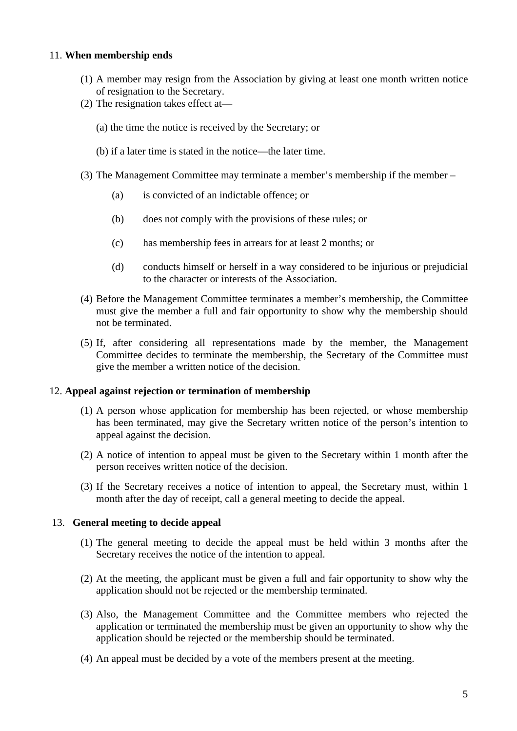#### 11. **When membership ends**

- (1) A member may resign from the Association by giving at least one month written notice of resignation to the Secretary.
- (2) The resignation takes effect at—
	- (a) the time the notice is received by the Secretary; or
	- (b) if a later time is stated in the notice—the later time.
- (3) The Management Committee may terminate a member's membership if the member
	- (a) is convicted of an indictable offence; or
	- (b) does not comply with the provisions of these rules; or
	- (c) has membership fees in arrears for at least 2 months; or
	- (d) conducts himself or herself in a way considered to be injurious or prejudicial to the character or interests of the Association.
- (4) Before the Management Committee terminates a member's membership, the Committee must give the member a full and fair opportunity to show why the membership should not be terminated.
- (5) If, after considering all representations made by the member, the Management Committee decides to terminate the membership, the Secretary of the Committee must give the member a written notice of the decision.

#### 12. **Appeal against rejection or termination of membership**

- (1) A person whose application for membership has been rejected, or whose membership has been terminated, may give the Secretary written notice of the person's intention to appeal against the decision.
- (2) A notice of intention to appeal must be given to the Secretary within 1 month after the person receives written notice of the decision.
- (3) If the Secretary receives a notice of intention to appeal, the Secretary must, within 1 month after the day of receipt, call a general meeting to decide the appeal.

## 13. **General meeting to decide appeal**

- (1) The general meeting to decide the appeal must be held within 3 months after the Secretary receives the notice of the intention to appeal.
- (2) At the meeting, the applicant must be given a full and fair opportunity to show why the application should not be rejected or the membership terminated.
- (3) Also, the Management Committee and the Committee members who rejected the application or terminated the membership must be given an opportunity to show why the application should be rejected or the membership should be terminated.
- (4) An appeal must be decided by a vote of the members present at the meeting.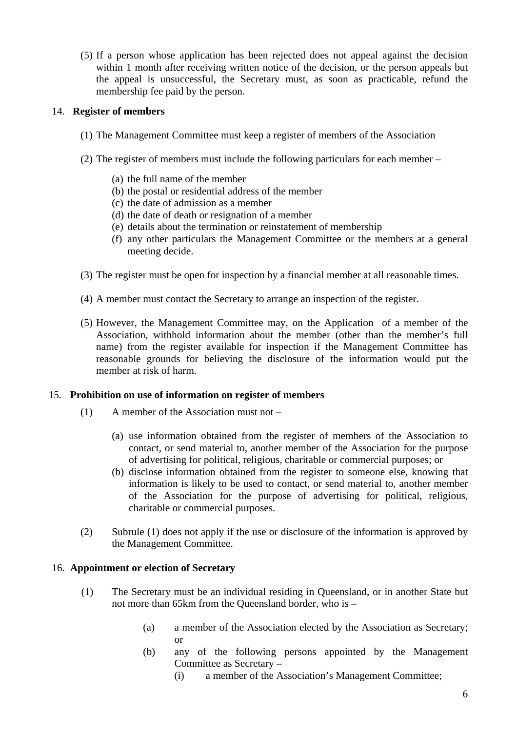(5) If a person whose application has been rejected does not appeal against the decision within 1 month after receiving written notice of the decision, or the person appeals but the appeal is unsuccessful, the Secretary must, as soon as practicable, refund the membership fee paid by the person.

## 14. **Register of members**

- (1) The Management Committee must keep a register of members of the Association
- (2) The register of members must include the following particulars for each member
	- (a) the full name of the member
	- (b) the postal or residential address of the member
	- (c) the date of admission as a member
	- (d) the date of death or resignation of a member
	- (e) details about the termination or reinstatement of membership
	- (f) any other particulars the Management Committee or the members at a general meeting decide.
- (3) The register must be open for inspection by a financial member at all reasonable times.
- (4) A member must contact the Secretary to arrange an inspection of the register.
- (5) However, the Management Committee may, on the Application of a member of the Association, withhold information about the member (other than the member's full name) from the register available for inspection if the Management Committee has reasonable grounds for believing the disclosure of the information would put the member at risk of harm.

#### 15. **Prohibition on use of information on register of members**

- (1) A member of the Association must not
	- (a) use information obtained from the register of members of the Association to contact, or send material to, another member of the Association for the purpose of advertising for political, religious, charitable or commercial purposes; or
	- (b) disclose information obtained from the register to someone else, knowing that information is likely to be used to contact, or send material to, another member of the Association for the purpose of advertising for political, religious, charitable or commercial purposes.
- (2) Subrule (1) does not apply if the use or disclosure of the information is approved by the Management Committee.

## 16. **Appointment or election of Secretary**

- (1) The Secretary must be an individual residing in Queensland, or in another State but not more than 65km from the Queensland border, who is –
	- (a) a member of the Association elected by the Association as Secretary; or
	- (b) any of the following persons appointed by the Management Committee as Secretary –
		- (i) a member of the Association's Management Committee;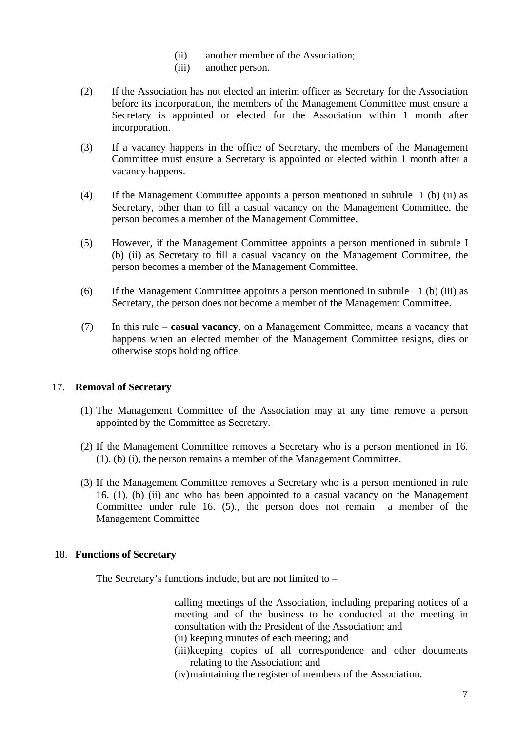- (ii) another member of the Association;
- (iii) another person.
- (2) If the Association has not elected an interim officer as Secretary for the Association before its incorporation, the members of the Management Committee must ensure a Secretary is appointed or elected for the Association within 1 month after incorporation.
- (3) If a vacancy happens in the office of Secretary, the members of the Management Committee must ensure a Secretary is appointed or elected within 1 month after a vacancy happens.
- (4) If the Management Committee appoints a person mentioned in subrule 1 (b) (ii) as Secretary, other than to fill a casual vacancy on the Management Committee, the person becomes a member of the Management Committee.
- (5) However, if the Management Committee appoints a person mentioned in subrule I (b) (ii) as Secretary to fill a casual vacancy on the Management Committee, the person becomes a member of the Management Committee.
- (6) If the Management Committee appoints a person mentioned in subrule 1 (b) (iii) as Secretary, the person does not become a member of the Management Committee.
- (7) In this rule **casual vacancy**, on a Management Committee, means a vacancy that happens when an elected member of the Management Committee resigns, dies or otherwise stops holding office.

## 17. **Removal of Secretary**

- (1) The Management Committee of the Association may at any time remove a person appointed by the Committee as Secretary.
- (2) If the Management Committee removes a Secretary who is a person mentioned in 16. (1). (b) (i), the person remains a member of the Management Committee.
- (3) If the Management Committee removes a Secretary who is a person mentioned in rule 16. (1). (b) (ii) and who has been appointed to a casual vacancy on the Management Committee under rule 16. (5)., the person does not remain a member of the Management Committee

## 18. **Functions of Secretary**

The Secretary's functions include, but are not limited to –

calling meetings of the Association, including preparing notices of a meeting and of the business to be conducted at the meeting in consultation with the President of the Association; and

- (ii) keeping minutes of each meeting; and
- (iii)keeping copies of all correspondence and other documents relating to the Association; and

(iv)maintaining the register of members of the Association.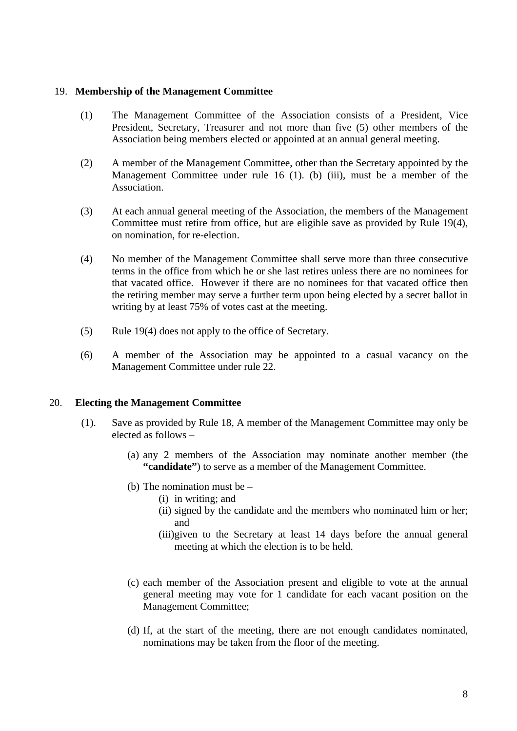#### 19. **Membership of the Management Committee**

- (1) The Management Committee of the Association consists of a President, Vice President, Secretary, Treasurer and not more than five (5) other members of the Association being members elected or appointed at an annual general meeting.
- (2) A member of the Management Committee, other than the Secretary appointed by the Management Committee under rule 16 (1). (b) (iii), must be a member of the Association.
- (3) At each annual general meeting of the Association, the members of the Management Committee must retire from office, but are eligible save as provided by Rule 19(4), on nomination, for re-election.
- (4) No member of the Management Committee shall serve more than three consecutive terms in the office from which he or she last retires unless there are no nominees for that vacated office. However if there are no nominees for that vacated office then the retiring member may serve a further term upon being elected by a secret ballot in writing by at least 75% of votes cast at the meeting.
- (5) Rule 19(4) does not apply to the office of Secretary.
- (6) A member of the Association may be appointed to a casual vacancy on the Management Committee under rule 22.

#### 20. **Electing the Management Committee**

- (1). Save as provided by Rule 18, A member of the Management Committee may only be elected as follows –
	- (a) any 2 members of the Association may nominate another member (the **"candidate"**) to serve as a member of the Management Committee.
	- (b) The nomination must be
		- (i) in writing; and
		- (ii) signed by the candidate and the members who nominated him or her; and
		- (iii)given to the Secretary at least 14 days before the annual general meeting at which the election is to be held.
	- (c) each member of the Association present and eligible to vote at the annual general meeting may vote for 1 candidate for each vacant position on the Management Committee;
	- (d) If, at the start of the meeting, there are not enough candidates nominated, nominations may be taken from the floor of the meeting.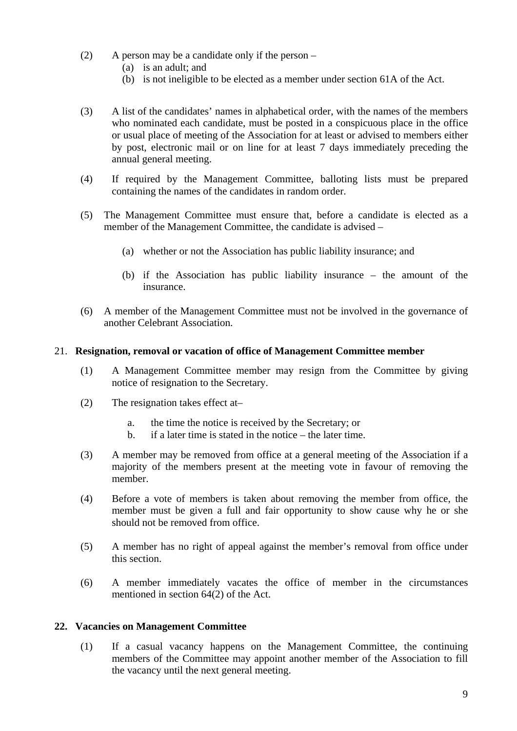- (2) A person may be a candidate only if the person  $-$ 
	- (a) is an adult; and
	- (b) is not ineligible to be elected as a member under section 61A of the Act.
- (3) A list of the candidates' names in alphabetical order, with the names of the members who nominated each candidate, must be posted in a conspicuous place in the office or usual place of meeting of the Association for at least or advised to members either by post, electronic mail or on line for at least 7 days immediately preceding the annual general meeting.
- (4) If required by the Management Committee, balloting lists must be prepared containing the names of the candidates in random order.
- (5) The Management Committee must ensure that, before a candidate is elected as a member of the Management Committee, the candidate is advised –
	- (a) whether or not the Association has public liability insurance; and
	- (b) if the Association has public liability insurance the amount of the insurance.
- (6) A member of the Management Committee must not be involved in the governance of another Celebrant Association.

#### 21. **Resignation, removal or vacation of office of Management Committee member**

- (1) A Management Committee member may resign from the Committee by giving notice of resignation to the Secretary.
- (2) The resignation takes effect at–
	- a. the time the notice is received by the Secretary; or
	- b. if a later time is stated in the notice the later time.
- (3) A member may be removed from office at a general meeting of the Association if a majority of the members present at the meeting vote in favour of removing the member.
- (4) Before a vote of members is taken about removing the member from office, the member must be given a full and fair opportunity to show cause why he or she should not be removed from office.
- (5) A member has no right of appeal against the member's removal from office under this section.
- (6) A member immediately vacates the office of member in the circumstances mentioned in section 64(2) of the Act.

#### **22. Vacancies on Management Committee**

(1) If a casual vacancy happens on the Management Committee, the continuing members of the Committee may appoint another member of the Association to fill the vacancy until the next general meeting.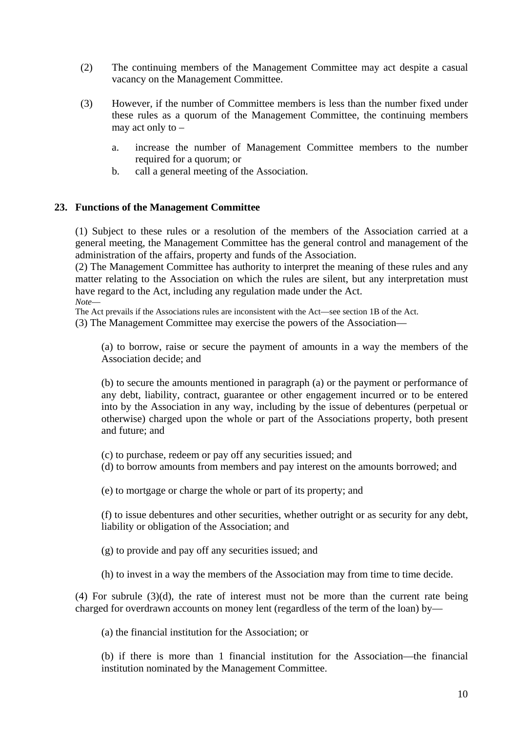- (2) The continuing members of the Management Committee may act despite a casual vacancy on the Management Committee.
- (3) However, if the number of Committee members is less than the number fixed under these rules as a quorum of the Management Committee, the continuing members may act only to –
	- a. increase the number of Management Committee members to the number required for a quorum; or
	- b. call a general meeting of the Association.

## **23. Functions of the Management Committee**

(1) Subject to these rules or a resolution of the members of the Association carried at a general meeting, the Management Committee has the general control and management of the administration of the affairs, property and funds of the Association.

(2) The Management Committee has authority to interpret the meaning of these rules and any matter relating to the Association on which the rules are silent, but any interpretation must have regard to the Act, including any regulation made under the Act.

*Note*—

The Act prevails if the Associations rules are inconsistent with the Act—see section 1B of the Act.

(3) The Management Committee may exercise the powers of the Association—

(a) to borrow, raise or secure the payment of amounts in a way the members of the Association decide; and

(b) to secure the amounts mentioned in paragraph (a) or the payment or performance of any debt, liability, contract, guarantee or other engagement incurred or to be entered into by the Association in any way, including by the issue of debentures (perpetual or otherwise) charged upon the whole or part of the Associations property, both present and future; and

(c) to purchase, redeem or pay off any securities issued; and

(d) to borrow amounts from members and pay interest on the amounts borrowed; and

(e) to mortgage or charge the whole or part of its property; and

(f) to issue debentures and other securities, whether outright or as security for any debt, liability or obligation of the Association; and

(g) to provide and pay off any securities issued; and

(h) to invest in a way the members of the Association may from time to time decide.

(4) For subrule (3)(d), the rate of interest must not be more than the current rate being charged for overdrawn accounts on money lent (regardless of the term of the loan) by—

(a) the financial institution for the Association; or

(b) if there is more than 1 financial institution for the Association—the financial institution nominated by the Management Committee.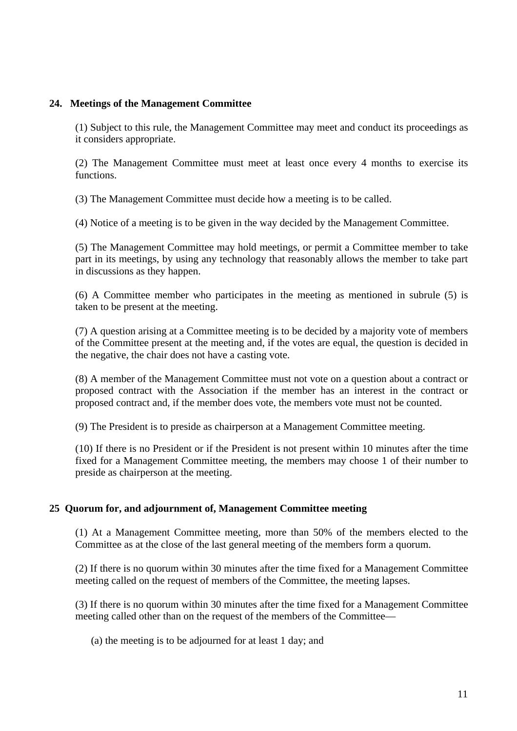#### **24. Meetings of the Management Committee**

(1) Subject to this rule, the Management Committee may meet and conduct its proceedings as it considers appropriate.

(2) The Management Committee must meet at least once every 4 months to exercise its functions.

(3) The Management Committee must decide how a meeting is to be called.

(4) Notice of a meeting is to be given in the way decided by the Management Committee.

(5) The Management Committee may hold meetings, or permit a Committee member to take part in its meetings, by using any technology that reasonably allows the member to take part in discussions as they happen.

(6) A Committee member who participates in the meeting as mentioned in subrule (5) is taken to be present at the meeting.

(7) A question arising at a Committee meeting is to be decided by a majority vote of members of the Committee present at the meeting and, if the votes are equal, the question is decided in the negative, the chair does not have a casting vote.

(8) A member of the Management Committee must not vote on a question about a contract or proposed contract with the Association if the member has an interest in the contract or proposed contract and, if the member does vote, the members vote must not be counted.

(9) The President is to preside as chairperson at a Management Committee meeting.

(10) If there is no President or if the President is not present within 10 minutes after the time fixed for a Management Committee meeting, the members may choose 1 of their number to preside as chairperson at the meeting.

## **25 Quorum for, and adjournment of, Management Committee meeting**

(1) At a Management Committee meeting, more than 50% of the members elected to the Committee as at the close of the last general meeting of the members form a quorum.

(2) If there is no quorum within 30 minutes after the time fixed for a Management Committee meeting called on the request of members of the Committee, the meeting lapses.

(3) If there is no quorum within 30 minutes after the time fixed for a Management Committee meeting called other than on the request of the members of the Committee—

(a) the meeting is to be adjourned for at least 1 day; and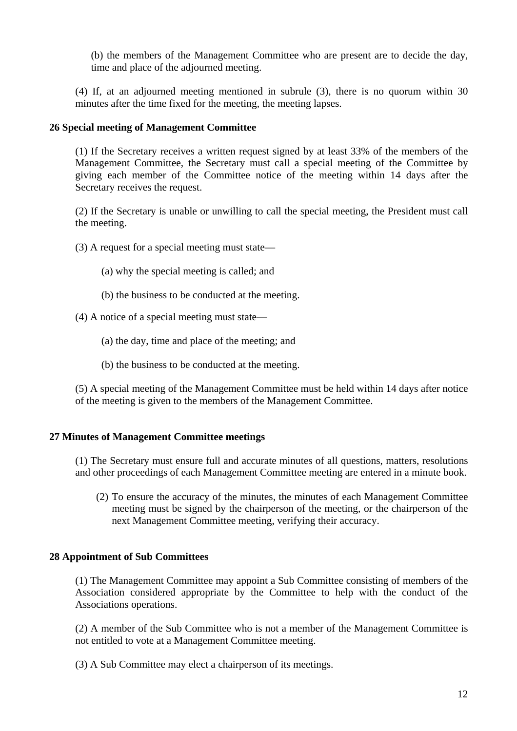(b) the members of the Management Committee who are present are to decide the day, time and place of the adjourned meeting.

(4) If, at an adjourned meeting mentioned in subrule (3), there is no quorum within 30 minutes after the time fixed for the meeting, the meeting lapses.

## **26 Special meeting of Management Committee**

(1) If the Secretary receives a written request signed by at least 33% of the members of the Management Committee, the Secretary must call a special meeting of the Committee by giving each member of the Committee notice of the meeting within 14 days after the Secretary receives the request.

(2) If the Secretary is unable or unwilling to call the special meeting, the President must call the meeting.

- (3) A request for a special meeting must state—
	- (a) why the special meeting is called; and
	- (b) the business to be conducted at the meeting.
- (4) A notice of a special meeting must state—
	- (a) the day, time and place of the meeting; and
	- (b) the business to be conducted at the meeting.

(5) A special meeting of the Management Committee must be held within 14 days after notice of the meeting is given to the members of the Management Committee.

#### **27 Minutes of Management Committee meetings**

(1) The Secretary must ensure full and accurate minutes of all questions, matters, resolutions and other proceedings of each Management Committee meeting are entered in a minute book.

(2) To ensure the accuracy of the minutes, the minutes of each Management Committee meeting must be signed by the chairperson of the meeting, or the chairperson of the next Management Committee meeting, verifying their accuracy.

#### **28 Appointment of Sub Committees**

(1) The Management Committee may appoint a Sub Committee consisting of members of the Association considered appropriate by the Committee to help with the conduct of the Associations operations.

(2) A member of the Sub Committee who is not a member of the Management Committee is not entitled to vote at a Management Committee meeting.

(3) A Sub Committee may elect a chairperson of its meetings.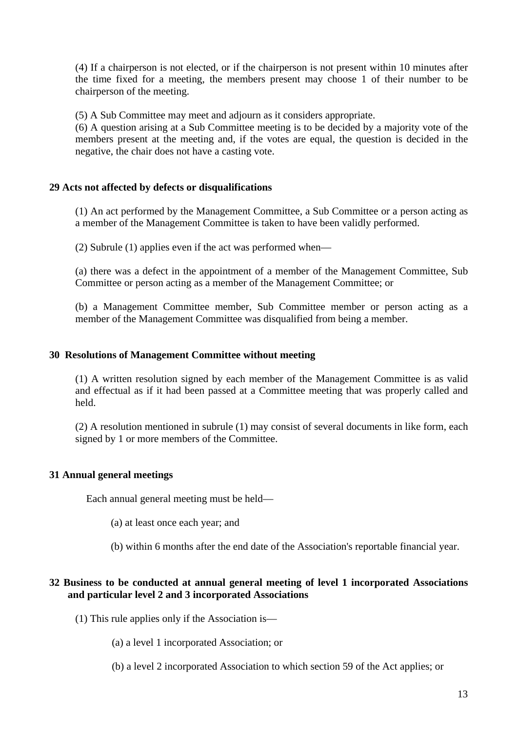(4) If a chairperson is not elected, or if the chairperson is not present within 10 minutes after the time fixed for a meeting, the members present may choose 1 of their number to be chairperson of the meeting.

(5) A Sub Committee may meet and adjourn as it considers appropriate.

(6) A question arising at a Sub Committee meeting is to be decided by a majority vote of the members present at the meeting and, if the votes are equal, the question is decided in the negative, the chair does not have a casting vote.

## **29 Acts not affected by defects or disqualifications**

(1) An act performed by the Management Committee, a Sub Committee or a person acting as a member of the Management Committee is taken to have been validly performed.

(2) Subrule (1) applies even if the act was performed when—

(a) there was a defect in the appointment of a member of the Management Committee, Sub Committee or person acting as a member of the Management Committee; or

(b) a Management Committee member, Sub Committee member or person acting as a member of the Management Committee was disqualified from being a member.

## **30 Resolutions of Management Committee without meeting**

(1) A written resolution signed by each member of the Management Committee is as valid and effectual as if it had been passed at a Committee meeting that was properly called and held.

(2) A resolution mentioned in subrule (1) may consist of several documents in like form, each signed by 1 or more members of the Committee.

## **31 Annual general meetings**

Each annual general meeting must be held—

- (a) at least once each year; and
- (b) within 6 months after the end date of the Association's reportable financial year.

## **32 Business to be conducted at annual general meeting of level 1 incorporated Associations and particular level 2 and 3 incorporated Associations**

- (1) This rule applies only if the Association is—
	- (a) a level 1 incorporated Association; or
	- (b) a level 2 incorporated Association to which section 59 of the Act applies; or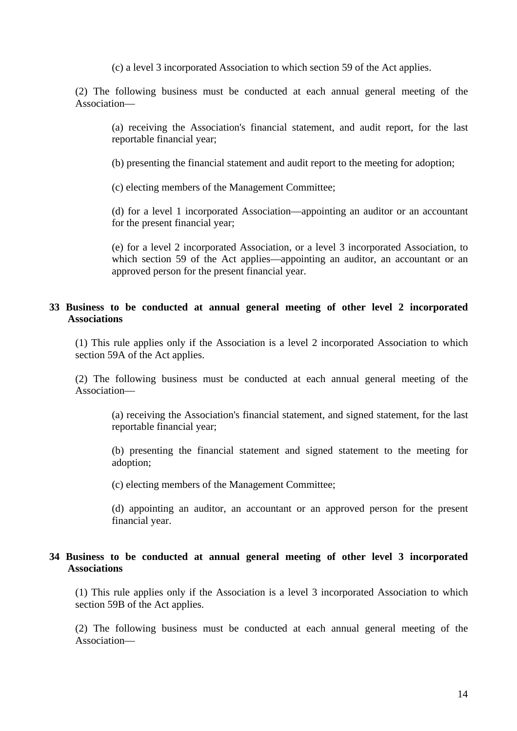(c) a level 3 incorporated Association to which section 59 of the Act applies.

(2) The following business must be conducted at each annual general meeting of the Association—

(a) receiving the Association's financial statement, and audit report, for the last reportable financial year;

(b) presenting the financial statement and audit report to the meeting for adoption;

(c) electing members of the Management Committee;

(d) for a level 1 incorporated Association—appointing an auditor or an accountant for the present financial year;

(e) for a level 2 incorporated Association, or a level 3 incorporated Association, to which section 59 of the Act applies—appointing an auditor, an accountant or an approved person for the present financial year.

## **33 Business to be conducted at annual general meeting of other level 2 incorporated Associations**

(1) This rule applies only if the Association is a level 2 incorporated Association to which section 59A of the Act applies.

(2) The following business must be conducted at each annual general meeting of the Association—

(a) receiving the Association's financial statement, and signed statement, for the last reportable financial year;

(b) presenting the financial statement and signed statement to the meeting for adoption;

(c) electing members of the Management Committee;

(d) appointing an auditor, an accountant or an approved person for the present financial year.

## **34 Business to be conducted at annual general meeting of other level 3 incorporated Associations**

(1) This rule applies only if the Association is a level 3 incorporated Association to which section 59B of the Act applies.

(2) The following business must be conducted at each annual general meeting of the Association—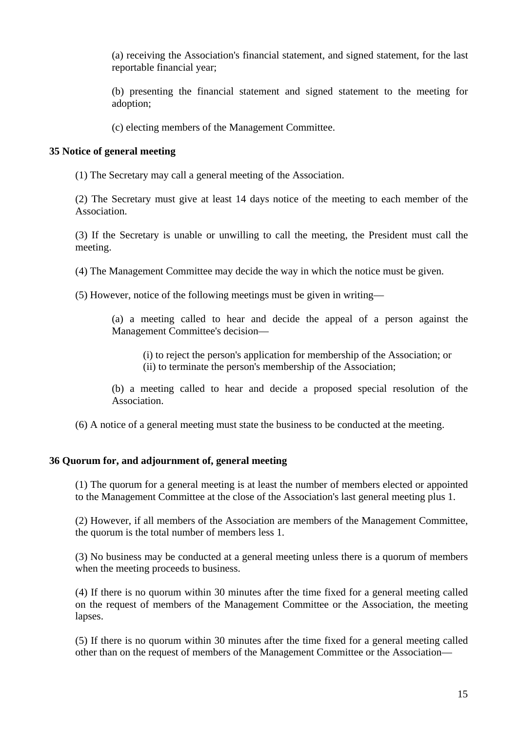(a) receiving the Association's financial statement, and signed statement, for the last reportable financial year;

(b) presenting the financial statement and signed statement to the meeting for adoption;

(c) electing members of the Management Committee.

## **35 Notice of general meeting**

(1) The Secretary may call a general meeting of the Association.

(2) The Secretary must give at least 14 days notice of the meeting to each member of the Association.

(3) If the Secretary is unable or unwilling to call the meeting, the President must call the meeting.

(4) The Management Committee may decide the way in which the notice must be given.

(5) However, notice of the following meetings must be given in writing—

(a) a meeting called to hear and decide the appeal of a person against the Management Committee's decision—

(i) to reject the person's application for membership of the Association; or (ii) to terminate the person's membership of the Association;

(b) a meeting called to hear and decide a proposed special resolution of the Association.

(6) A notice of a general meeting must state the business to be conducted at the meeting.

## **36 Quorum for, and adjournment of, general meeting**

(1) The quorum for a general meeting is at least the number of members elected or appointed to the Management Committee at the close of the Association's last general meeting plus 1.

(2) However, if all members of the Association are members of the Management Committee, the quorum is the total number of members less 1.

(3) No business may be conducted at a general meeting unless there is a quorum of members when the meeting proceeds to business.

(4) If there is no quorum within 30 minutes after the time fixed for a general meeting called on the request of members of the Management Committee or the Association, the meeting lapses.

(5) If there is no quorum within 30 minutes after the time fixed for a general meeting called other than on the request of members of the Management Committee or the Association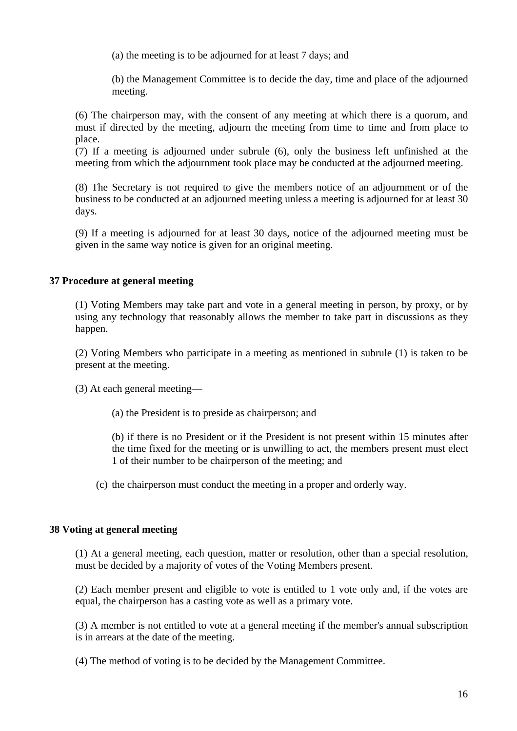(a) the meeting is to be adjourned for at least 7 days; and

(b) the Management Committee is to decide the day, time and place of the adjourned meeting.

(6) The chairperson may, with the consent of any meeting at which there is a quorum, and must if directed by the meeting, adjourn the meeting from time to time and from place to place.

(7) If a meeting is adjourned under subrule (6), only the business left unfinished at the meeting from which the adjournment took place may be conducted at the adjourned meeting.

(8) The Secretary is not required to give the members notice of an adjournment or of the business to be conducted at an adjourned meeting unless a meeting is adjourned for at least 30 days.

(9) If a meeting is adjourned for at least 30 days, notice of the adjourned meeting must be given in the same way notice is given for an original meeting.

## **37 Procedure at general meeting**

(1) Voting Members may take part and vote in a general meeting in person, by proxy, or by using any technology that reasonably allows the member to take part in discussions as they happen.

(2) Voting Members who participate in a meeting as mentioned in subrule (1) is taken to be present at the meeting.

(3) At each general meeting—

(a) the President is to preside as chairperson; and

(b) if there is no President or if the President is not present within 15 minutes after the time fixed for the meeting or is unwilling to act, the members present must elect 1 of their number to be chairperson of the meeting; and

(c) the chairperson must conduct the meeting in a proper and orderly way.

## **38 Voting at general meeting**

(1) At a general meeting, each question, matter or resolution, other than a special resolution, must be decided by a majority of votes of the Voting Members present.

(2) Each member present and eligible to vote is entitled to 1 vote only and, if the votes are equal, the chairperson has a casting vote as well as a primary vote.

(3) A member is not entitled to vote at a general meeting if the member's annual subscription is in arrears at the date of the meeting.

(4) The method of voting is to be decided by the Management Committee.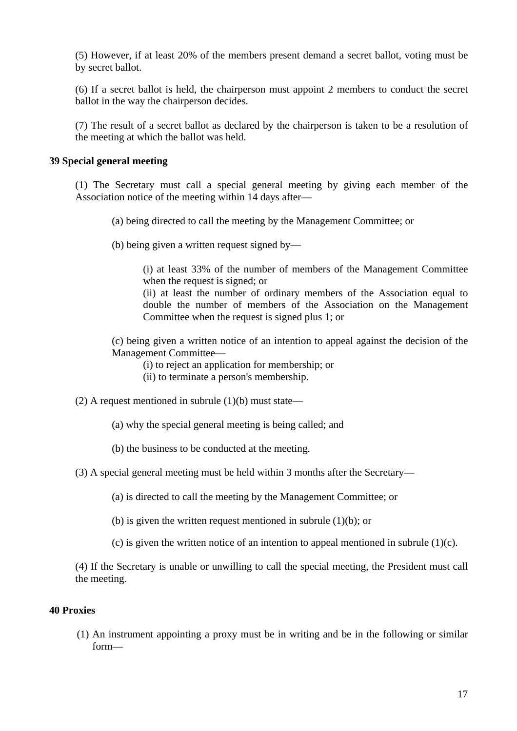(5) However, if at least 20% of the members present demand a secret ballot, voting must be by secret ballot.

(6) If a secret ballot is held, the chairperson must appoint 2 members to conduct the secret ballot in the way the chairperson decides.

(7) The result of a secret ballot as declared by the chairperson is taken to be a resolution of the meeting at which the ballot was held.

#### **39 Special general meeting**

(1) The Secretary must call a special general meeting by giving each member of the Association notice of the meeting within 14 days after—

(a) being directed to call the meeting by the Management Committee; or

(b) being given a written request signed by—

(i) at least 33% of the number of members of the Management Committee when the request is signed; or

(ii) at least the number of ordinary members of the Association equal to double the number of members of the Association on the Management Committee when the request is signed plus 1; or

(c) being given a written notice of an intention to appeal against the decision of the Management Committee—

(i) to reject an application for membership; or

(ii) to terminate a person's membership.

- (2) A request mentioned in subrule  $(1)(b)$  must state—
	- (a) why the special general meeting is being called; and
	- (b) the business to be conducted at the meeting.
- (3) A special general meeting must be held within 3 months after the Secretary—

(a) is directed to call the meeting by the Management Committee; or

(b) is given the written request mentioned in subrule (1)(b); or

(c) is given the written notice of an intention to appeal mentioned in subrule  $(1)(c)$ .

(4) If the Secretary is unable or unwilling to call the special meeting, the President must call the meeting.

#### **40 Proxies**

(1) An instrument appointing a proxy must be in writing and be in the following or similar form—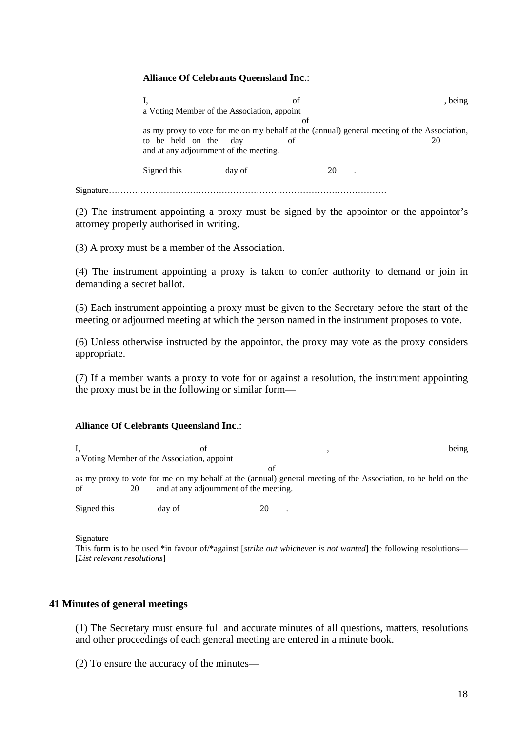#### **Alliance Of Celebrants Queensland Inc**.:

I, defined the of the state of  $\mathbf{b}$ , being a Voting Member of the Association, appoint of as my proxy to vote for me on my behalf at the (annual) general meeting of the Association, to be held on the day of 20 and at any adjournment of the meeting. Signed this day of 20 . Signature……………………………………………………………………………………

(2) The instrument appointing a proxy must be signed by the appointor or the appointor's attorney properly authorised in writing.

(3) A proxy must be a member of the Association.

(4) The instrument appointing a proxy is taken to confer authority to demand or join in demanding a secret ballot.

(5) Each instrument appointing a proxy must be given to the Secretary before the start of the meeting or adjourned meeting at which the person named in the instrument proposes to vote.

(6) Unless otherwise instructed by the appointor, the proxy may vote as the proxy considers appropriate.

(7) If a member wants a proxy to vote for or against a resolution, the instrument appointing the proxy must be in the following or similar form—

#### **Alliance Of Celebrants Queensland Inc**.:

| ОT                                          |        | being                                                                                                                                                         |
|---------------------------------------------|--------|---------------------------------------------------------------------------------------------------------------------------------------------------------------|
| a Voting Member of the Association, appoint |        |                                                                                                                                                               |
|                                             |        |                                                                                                                                                               |
|                                             |        |                                                                                                                                                               |
|                                             |        |                                                                                                                                                               |
|                                             |        |                                                                                                                                                               |
|                                             | day of | Ωt<br>as my proxy to vote for me on my behalf at the (annual) general meeting of the Association, to be held on the<br>and at any adjournment of the meeting. |

Signature

This form is to be used \*in favour of/\*against [*strike out whichever is not wanted*] the following resolutions— [*List relevant resolutions*]

#### **41 Minutes of general meetings**

(1) The Secretary must ensure full and accurate minutes of all questions, matters, resolutions and other proceedings of each general meeting are entered in a minute book.

(2) To ensure the accuracy of the minutes—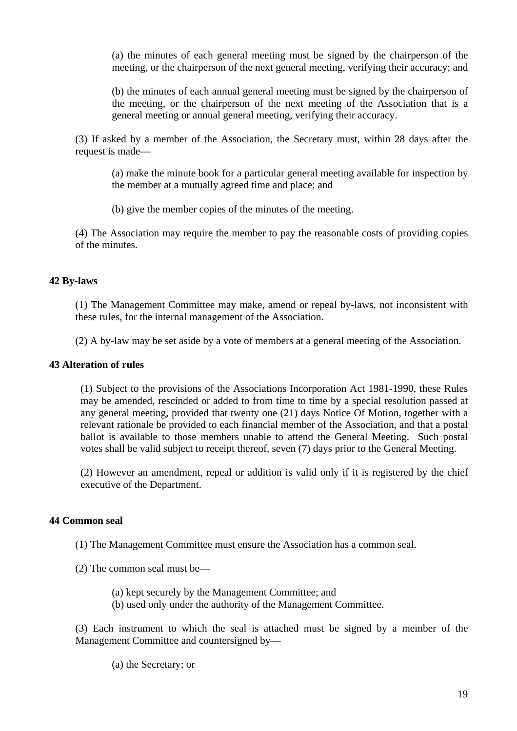(a) the minutes of each general meeting must be signed by the chairperson of the meeting, or the chairperson of the next general meeting, verifying their accuracy; and

(b) the minutes of each annual general meeting must be signed by the chairperson of the meeting, or the chairperson of the next meeting of the Association that is a general meeting or annual general meeting, verifying their accuracy.

(3) If asked by a member of the Association, the Secretary must, within 28 days after the request is made—

(a) make the minute book for a particular general meeting available for inspection by the member at a mutually agreed time and place; and

(b) give the member copies of the minutes of the meeting.

(4) The Association may require the member to pay the reasonable costs of providing copies of the minutes.

## **42 By-laws**

(1) The Management Committee may make, amend or repeal by-laws, not inconsistent with these rules, for the internal management of the Association.

(2) A by-law may be set aside by a vote of members at a general meeting of the Association.

## **43 Alteration of rules**

(1) Subject to the provisions of the Associations Incorporation Act 1981-1990, these Rules may be amended, rescinded or added to from time to time by a special resolution passed at any general meeting, provided that twenty one (21) days Notice Of Motion, together with a relevant rationale be provided to each financial member of the Association, and that a postal ballot is available to those members unable to attend the General Meeting. Such postal votes shall be valid subject to receipt thereof, seven (7) days prior to the General Meeting.

(2) However an amendment, repeal or addition is valid only if it is registered by the chief executive of the Department.

## **44 Common seal**

(1) The Management Committee must ensure the Association has a common seal.

(2) The common seal must be—

- (a) kept securely by the Management Committee; and
- (b) used only under the authority of the Management Committee.

(3) Each instrument to which the seal is attached must be signed by a member of the Management Committee and countersigned by—

(a) the Secretary; or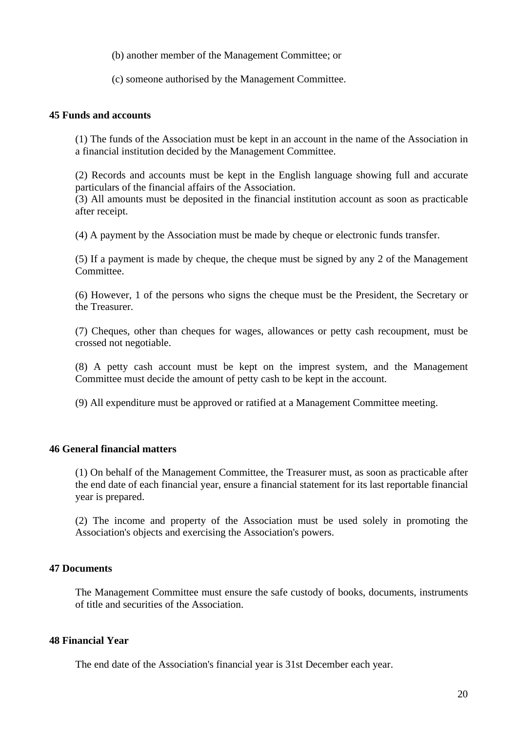(b) another member of the Management Committee; or

(c) someone authorised by the Management Committee.

#### **45 Funds and accounts**

(1) The funds of the Association must be kept in an account in the name of the Association in a financial institution decided by the Management Committee.

(2) Records and accounts must be kept in the English language showing full and accurate particulars of the financial affairs of the Association.

(3) All amounts must be deposited in the financial institution account as soon as practicable after receipt.

(4) A payment by the Association must be made by cheque or electronic funds transfer.

(5) If a payment is made by cheque, the cheque must be signed by any 2 of the Management Committee.

(6) However, 1 of the persons who signs the cheque must be the President, the Secretary or the Treasurer.

(7) Cheques, other than cheques for wages, allowances or petty cash recoupment, must be crossed not negotiable.

(8) A petty cash account must be kept on the imprest system, and the Management Committee must decide the amount of petty cash to be kept in the account.

(9) All expenditure must be approved or ratified at a Management Committee meeting.

#### **46 General financial matters**

(1) On behalf of the Management Committee, the Treasurer must, as soon as practicable after the end date of each financial year, ensure a financial statement for its last reportable financial year is prepared.

(2) The income and property of the Association must be used solely in promoting the Association's objects and exercising the Association's powers.

#### **47 Documents**

The Management Committee must ensure the safe custody of books, documents, instruments of title and securities of the Association.

#### **48 Financial Year**

The end date of the Association's financial year is 31st December each year.